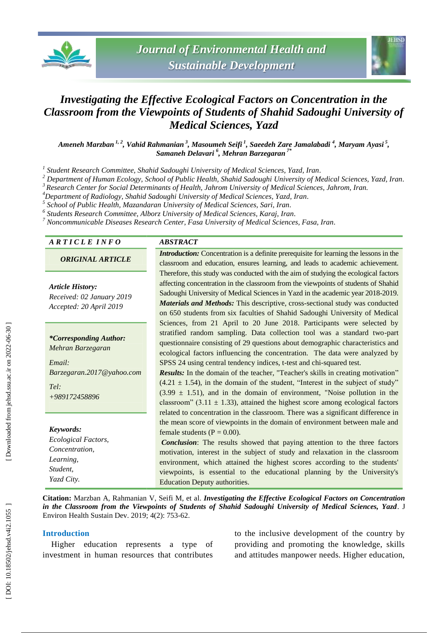



## *Investigating the Effective Ecological Factors on Concentration in the Classroom from the Viewpoints of Students of Shahid Sadoughi University of Medical Sciences, Yazd*

Ameneh Marzban <sup>1, 2</sup>, Vahid Rahmanian <sup>3</sup>, Masoumeh Seifi <sup>1</sup>, Saeedeh Zare Jamalabadi <sup>4</sup>, Maryam Ayasi <sup>5</sup>, *Samaneh Delavari 6 , Mehran Barzegaran 7 \**

*1 Student Research Committee, Shahid Sadoughi University of Medical Sciences, Yazd, Iran .*

*<sup>2</sup> Department of Human Ecology, School of Public Health, Shahid Sadoughi University of Medical Sciences, Yazd, Iran .*

 $3$  Research Center for Social Determinants of Health, Jahrom University of Medical Sciences, Jahrom, Iran.<br><sup>4</sup> Department of Radiology, Shahid Sadoughi University of Medical Sciences, Yazd, Iran.

*School of Public Health, Mazandaran University of Medical Sciences, Sari, Iran .*

*6 Students Research Committee, Alborz University of Medical Sciences, Karaj, Iran .*

*<sup>7</sup> Noncommunicable Diseases Research Center, Fasa University of Medical Sciences, Fasa, Iran .*

#### *A R T I C L E I N F O ABSTRACT*

*ORIGINAL ARTICLE*

*Article History:*

*Received: 02 January 201 9 Accepted: 20 April 201 9*

*\*Corresponding Author: Mehran Barzegaran*

*Email: Barzegaran.2017@yahoo.com*

*Tel: +989172458896*

# *Keywords:*

*Ecological Factors, Concentration, Learning, Student, Yazd City .*

*Introduction:* Concentration is a definite prerequisite for learning the lessons in the classroom and education, ensures learning, and leads to academic achievement. Therefore, this study was conducted with the aim of studying the ecological factors affecting concentration in the classroom from the viewpoints of students of Shahid Sadoughi University of Medical Sciences in Yazd in the academic year 2018-2019. *Materials and Methods:* This descriptive, cross -sectional study was conducted on 650 students from six faculties of Shahid Sadoughi University of Medical Sciences, from 21 April to 20 June 2018. Participants were selected by stratified random sampling. Data collection tool was a standard two -part questionnaire consisting of 29 questions about demographic characteristics and ecological factors influencing the concentration. The data were analyzed by SPSS 24 using central tendency indices, t -test and chi -squared test.

*Results:* In the domain of the teacher, "Teacher's skills in creating motivation"  $(4.21 \pm 1.54)$ , in the domain of the student, "Interest in the subject of study"  $(3.99 \pm 1.51)$ , and in the domain of environment, "Noise pollution in the classroom"  $(3.11 \pm 1.33)$ , attained the highest score among ecological factors related to concentration in the classroom. There was a significant difference in the mean score of viewpoints in the domain of environment between male and female students  $(P = 0.00)$ .

*Conclusion*: The results showed that paying attention to the three factors motivation, interest in the subject of study and relaxation in the classroom environment, which attained the highest scores according to the students' viewpoints, is essential to the educational planning by the University's Education Deputy authorities.

Citation: Marzban A, Rahmanian V, Seifi M, et al. *Investigating the Effective Ecological Factors on Concentration in the Classroom from the Viewpoints of Students of Shahid Sadoughi University of Medical Sciences, Yazd*. J Environ Health Sustain Dev. 2019; 4(2): 753 -62 .

#### **Introduction**

Higher education represents a type of investment in human resources that contributes

to the inclusive development of the country by providing and promoting the knowledge, skills and attitudes manpower needs. Higher education,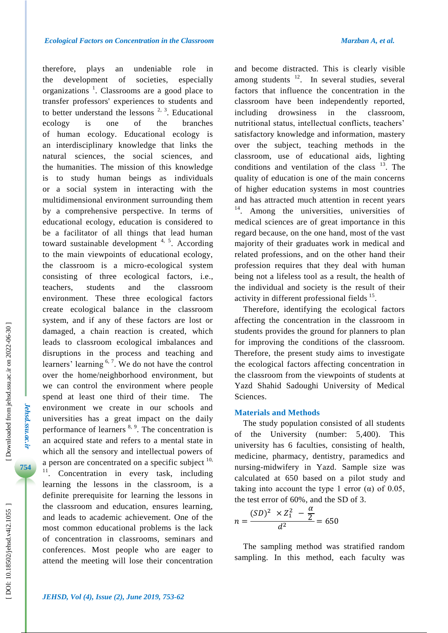therefore, plays an undeniable role in the development of societies, especially organizations<sup>1</sup>. Classrooms are a good place to transfer professors' experiences to students and to better understand the lessons  $2, 3$ . Educational ecology is one of the branches of human ecology. Educational ecology is an interdisciplinary knowledge that links the natural sciences, the social sciences, and the humanities. The mission of this knowledge is to study human beings as individuals or a social system in interacting with the multidimensional environment surrounding them by a comprehensive perspective. In terms of educational ecology, education is considered to be a facilitator of all things that lead human toward sustainable development  $4, 5$ . According to the main viewpoints of educational ecology, the classroom is a micro -ecological system consisting of three ecological factors, i.e., teachers, students and the classroom environment. These three ecological factors create ecological balance in the classroom system, and if any of these factors are lost or damaged, a chain reaction is created, which leads to classroom ecological imbalances and disruptions in the process and teaching and learners' learning <sup>6, 7</sup>. We do not have the control over the home/neighborhood environment, but we can control the environment where people spend at least one third of their time. The environment we create in our schools and universities has a great impact on the daily performance of learners <sup>8, 9</sup>. The concentration is an acquired state and refers to a mental state in which all the sensory and intellectual powers of a person are concentrated on a specific subject  $10$ , <sup>11</sup>. Concentration in every task, including learning the lessons in the classroom, is a definite prerequisite for learning the lessons in the classroom and education, ensures learning, and leads to academic achievement. One of the most common educational problems is the lack of concentration in classrooms, seminars and conferences. Most people who are eager to

and become distracted. This is clearly visible among students  $12$ . In several studies, several factors that influence the concentration in the classroom have been independently reported, including drowsiness in the classroom, nutritional status, intellectual conflicts, teachers' satisfactory knowledge and information, mastery over the subject, teaching methods in the classroom, use of educational aids, lighting conditions and ventilation of the class  $13$ . The quality of education is one of the main concerns of higher education systems in most countries and has attracted much attention in recent years <sup>14</sup>. Among the universities, universities of medical sciences are of great importance in this regard because, on the one hand, most of the vast majority of their graduates work in medical and related professions, and on the other hand their profession requires that they deal with human being not a lifeless tool as a result, the health of the individual and society is the result of their activity in different professional fields <sup>15</sup>.

Therefore, identifying the ecological factors affecting the concentration in the classroom in students provides the ground for planners to plan for improving the conditions of the classroom. Therefore, the present study aims to investigate the ecological factors affecting concentration in the classroom from the viewpoints of students at Yazd Shahid Sadoughi University of Medical Sciences.

#### **Materials and Methods**

The study population consisted of all students of the University (number: 5,400). This university has 6 faculties, consisting of health, medicine, pharmacy, dentistry, paramedics and nursing -midwifery in Yazd. Sample size was calculated at 650 based on a pilot study and taking into account the type 1 error ( $\alpha$ ) of 0.05, the test error of 60%, and the SD of 3.

$$
n = \frac{(SD)^2 \times Z_1^2 - \frac{\alpha}{2}}{d^2} = 650
$$

The sampling method was stratified random sampling. In this method, each faculty was

*Jehsd.ssu.ac.ir*

Jehsd.ssu.ac.ir

**754**

attend the meeting will lose their concentration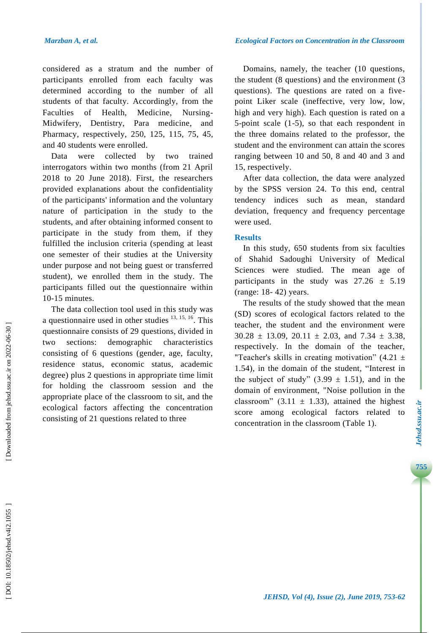considered as a stratum and the number of participants enrolled from each faculty was determined according to the number of all students of that faculty. Accordingly, from the Faculties of Health, Medicine. Nursing-Midwifery, Dentistry, Para medicine, and Pharmacy, respectively, 250, 125, 115, 75, 45, and 40 students were enrolled.

Data were collected by two trained interrogators within two months (from 21 April 2018 to 20 June 2018). First, the researchers provided explanations about the confidentiality of the participants' information and the voluntary nature of participation in the study to the students, and after obtaining informed consent to participate in the study from them, if they fulfilled the inclusion criteria (spending at least one semester of their studies at the University under purpose and not being guest or transferred student), we enrolled them in the study. The participants filled out the questionnaire within 10 -15 minutes.

The data collection tool used in this study was a questionnaire used in other studies  $13, 15, 16$ . This questionnaire consists of 29 questions, divided in two sections: demographic characteristics consisting of 6 questions (gender, age, faculty, residence status, economic status, academic degree ) plus 2 questions in appropriate time limit for holding the classroom session and the appropriate place of the classroom to sit, and the ecological factors affecting the concentration consisting of 21 questions related to three

Domains, namely, the teacher (10 questions, the student (8 questions) and the environment (3 questions). The questions are rated on a five point Liker scale (ineffective, very low, low, high and very high). Each question is rated on a 5-point scale (1-5), so that each respondent in the three domains related to the professor, the student and the environment can attain the scores ranging between 10 and 50, 8 and 40 and 3 and 15, respectively.

After data collection, the data were analyzed by the SPSS version 24. To this end, central tendency indices such as mean, standard deviation, frequency and frequency percentage were used.

#### **Results**

In this study, 650 students from six faculties of Shahid Sadoughi University of Medical Sciences were studied. The mean age of participants in the study was  $27.26 \pm 5.19$ (range: 18 - 42) years.

The results of the study showed that the mean (SD) scores of ecological factors related to the teacher, the student and the environment were  $30.28 \pm 13.09$ ,  $20.11 \pm 2.03$ , and  $7.34 \pm 3.38$ , respectively. In the domain of the teacher, "Teacher's skills in creating motivation"  $(4.21 \pm$ 1 .54 ), in the domain of the student, "Interest in the subject of study"  $(3.99 \pm 1.51)$ , and in the domain of environment, "Noise pollution in the classroom" (3.11  $\pm$  1.33), attained the highest score among ecological factors related to concentration in the classroom (Table 1).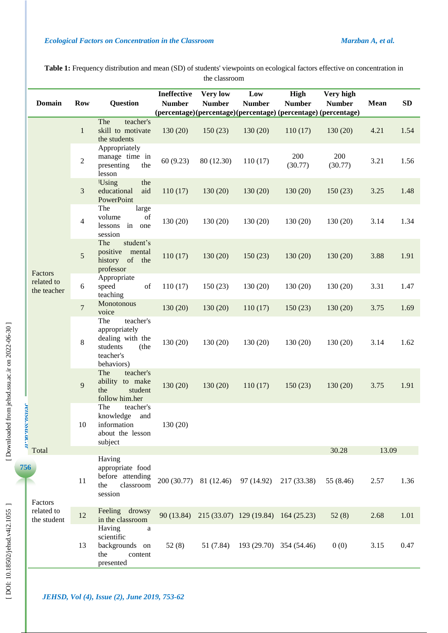**Table 1 :** Frequency distribution and mean (SD) of students' viewpoints on ecological factors effective on concentration in the classroom

|                | <b>Domain</b>                        | <b>Row</b>     | <b>Question</b>                                                                                      | <b>Ineffective</b><br><b>Number</b> | <b>Very low</b><br><b>Number</b> | Low<br><b>Number</b>                           | High<br><b>Number</b><br>(percentage)(percentage)(percentage) (percentage) (percentage) | Very high<br><b>Number</b> | Mean  | ${\bf SD}$ |
|----------------|--------------------------------------|----------------|------------------------------------------------------------------------------------------------------|-------------------------------------|----------------------------------|------------------------------------------------|-----------------------------------------------------------------------------------------|----------------------------|-------|------------|
|                | Factors<br>related to<br>the teacher | $\mathbf{1}$   | teacher's<br>The<br>skill to motivate<br>the students                                                | 130(20)                             | 150(23)                          | 130(20)                                        | 110(17)                                                                                 | 130(20)                    | 4.21  | 1.54       |
|                |                                      | $\overline{2}$ | Appropriately<br>manage time in<br>presenting<br>the<br>lesson                                       | 60(9.23)                            | 80 (12.30)                       | 110(17)                                        | 200<br>(30.77)                                                                          | 200<br>(30.77)             | 3.21  | 1.56       |
|                |                                      | $\mathfrak{Z}$ | <b>Using</b><br>the<br>educational<br>aid<br>PowerPoint                                              | 110(17)                             | 130(20)                          | 130(20)                                        | 130(20)                                                                                 | 150(23)                    | 3.25  | 1.48       |
|                |                                      | $\overline{4}$ | The<br>large<br>volume<br>of<br>lessons<br>in one<br>session                                         | 130(20)                             | 130(20)                          | 130(20)                                        | 130(20)                                                                                 | 130(20)                    | 3.14  | 1.34       |
|                |                                      | 5              | The<br>student's<br>positive mental<br>history of the<br>professor                                   | 110(17)                             | 130(20)                          | 150(23)                                        | 130(20)                                                                                 | 130(20)                    | 3.88  | 1.91       |
|                |                                      | $6\,$          | Appropriate<br>speed<br>of<br>teaching                                                               | 110(17)                             | 150(23)                          | 130(20)                                        | 130(20)                                                                                 | 130(20)                    | 3.31  | 1.47       |
|                |                                      | $\overline{7}$ | Monotonous<br>voice                                                                                  | 130(20)                             | 130(20)                          | 110(17)                                        | 150(23)                                                                                 | 130(20)                    | 3.75  | 1.69       |
| Jensu.ssu.ac.u |                                      | 8              | The<br>teacher's<br>appropriately<br>dealing with the<br>students<br>(the<br>teacher's<br>behaviors) | 130(20)                             | 130(20)                          | 130(20)                                        | 130(20)                                                                                 | 130(20)                    | 3.14  | 1.62       |
|                |                                      | 9              | The<br>teacher's<br>ability to make<br>the<br>student<br>follow him.her                              | 130(20)                             | 130(20)                          | 110(17)                                        | 150(23)                                                                                 | 130(20)                    | 3.75  | 1.91       |
|                |                                      | 10             | The<br>teacher's<br>knowledge and<br>information<br>about the lesson<br>subject                      | 130(20)                             |                                  |                                                |                                                                                         |                            |       |            |
|                | Total                                |                |                                                                                                      |                                     |                                  |                                                |                                                                                         | 30.28                      | 13.09 |            |
| 56             | Factors<br>related to<br>the student | 11             | Having<br>appropriate food<br>before attending<br>classroom<br>the<br>session                        |                                     |                                  | 200 (30.77) 81 (12.46) 97 (14.92)              | 217 (33.38)                                                                             | 55 (8.46)                  | 2.57  | 1.36       |
|                |                                      | 12             | Feeling<br>drowsy<br>in the classroom                                                                |                                     |                                  | 90 (13.84) 215 (33.07) 129 (19.84) 164 (25.23) |                                                                                         | 52(8)                      | 2.68  | 1.01       |
|                |                                      | 13             | Having<br>$\rm{a}$<br>scientific<br>backgrounds on<br>the<br>content<br>presented                    | 52(8)                               | 51 (7.84)                        | 193 (29.70) 354 (54.46)                        |                                                                                         | 0(0)                       | 3.15  | 0.47       |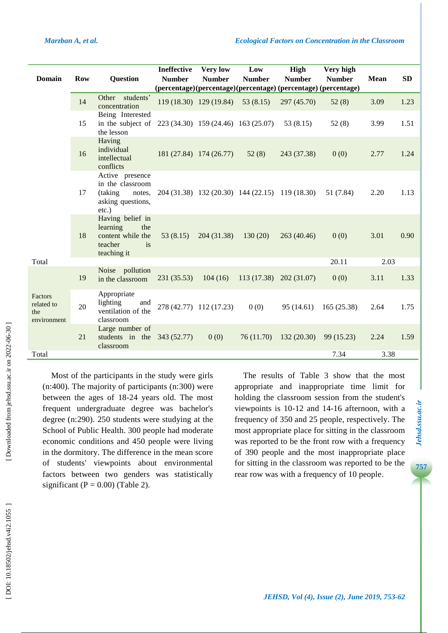| <b>Domain</b>                               | <b>Row</b> | <b>Question</b>                                                                           | Ineffective<br><b>Number</b> | <b>Very low</b><br><b>Number</b>    | Low<br><b>Number</b> | High<br><b>Number</b><br>(percentage)(percentage)(percentage)(percentage)(percentage) | Very high<br><b>Number</b> | <b>Mean</b> | <b>SD</b> |
|---------------------------------------------|------------|-------------------------------------------------------------------------------------------|------------------------------|-------------------------------------|----------------------|---------------------------------------------------------------------------------------|----------------------------|-------------|-----------|
|                                             | 14         | students'<br>Other<br>concentration                                                       |                              | 119 (18.30) 129 (19.84)             | 53(8.15)             | 297 (45.70)                                                                           | 52(8)                      | 3.09        | 1.23      |
|                                             | 15         | Being Interested<br>in the subject of<br>the lesson                                       |                              | 223 (34.30) 159 (24.46) 163 (25.07) |                      | 53(8.15)                                                                              | 52(8)                      | 3.99        | 1.51      |
|                                             | 16         | Having<br>individual<br>intellectual<br>conflicts                                         |                              | 181 (27.84) 174 (26.77)             | 52(8)                | 243 (37.38)                                                                           | 0(0)                       | 2.77        | 1.24      |
|                                             | 17         | Active presence<br>in the classroom<br>(taking<br>notes,<br>asking questions,<br>$etc.$ ) |                              |                                     |                      | 204 (31.38) 132 (20.30) 144 (22.15) 119 (18.30)                                       | 51 (7.84)                  | 2.20        | 1.13      |
|                                             | 18         | Having belief in<br>learning<br>the<br>content while the<br>teacher<br>is<br>teaching it  | 53(8.15)                     | 204 (31.38)                         | 130(20)              | 263 (40.46)                                                                           | 0(0)                       | 3.01        | 0.90      |
| Total                                       |            |                                                                                           |                              |                                     |                      |                                                                                       | 20.11                      | 2.03        |           |
|                                             | 19         | Noise pollution<br>in the classroom                                                       | 231 (35.53)                  | 104(16)                             | 113(17.38)           | 202(31.07)                                                                            | 0(0)                       | 3.11        | 1.33      |
| Factors<br>related to<br>the<br>environment | 20         | Appropriate<br>lighting<br>and<br>ventilation of the<br>classroom                         |                              | 278 (42.77) 112 (17.23)             | 0(0)                 | 95(14.61)                                                                             | 165(25.38)                 | 2.64        | 1.75      |
|                                             | 21         | Large number of<br>students in the $343(52.77)$<br>classroom                              |                              | 0(0)                                | 76(11.70)            | 132(20.30)                                                                            | 99 (15.23)                 | 2.24        | 1.59      |
| Total                                       |            |                                                                                           |                              |                                     |                      |                                                                                       | 7.34                       | 3.38        |           |
|                                             |            |                                                                                           |                              |                                     |                      |                                                                                       |                            |             |           |

Most of the participants in the study were girls (n:400). The majority of participants (n:300) were between the ages of 18 -24 years old. The most frequent undergraduate degree was bachelor's degree (n:290). 250 students were studying at the School of Public Health. 300 people had moderate economic conditions and 450 people were living in the dormitory. The difference in the mean score of students' viewpoints about environmental factors between two genders was statistically significant ( $P = 0.00$ ) (Table 2).

The results of Table 3 show that the most appropriate and inappropriate time limit for holding the classroom session from the student's viewpoints is 10 -12 and 14 -16 afternoon, with a frequency of 350 and 25 people, respectively. The most appropriate place for sitting in the classroom was reported to be the front row with a frequency of 390 people and the most inappropriate place for sitting in the classroom was reported to be the rear row was with a frequency of 10 people .

Jehsd.ssu.ac.ir **757***Jehsd.ssu.ac.ir* **7***Jehsd.ssu.ac.ir*

757

[Downloaded from jehsd.ssu.ac.ir on 2022-06-30]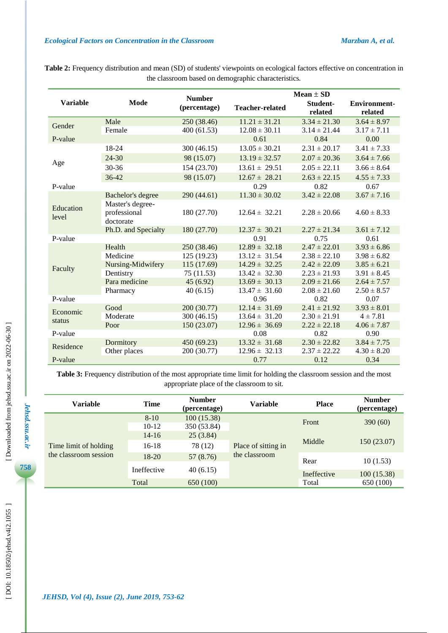|                    |                                               |                               | $Mean \pm SD$             |                          |                                |  |
|--------------------|-----------------------------------------------|-------------------------------|---------------------------|--------------------------|--------------------------------|--|
| <b>Variable</b>    | Mode                                          | <b>Number</b><br>(percentage) | <b>Teacher-related</b>    | Student-<br>related      | <b>Environment-</b><br>related |  |
| Gender             | Male                                          | 250 (38.46)                   | $11.21 \pm 31.21$         | $3.34 \pm 21.30$         | $3.64 \pm 8.97$                |  |
|                    | Female                                        | 400(61.53)                    | $12.08 \pm 30.11$         | $3.14 \pm 21.44$         | $3.17 \pm 7.11$                |  |
| P-value            |                                               |                               | 0.61                      | 0.84                     | 0.00                           |  |
|                    | 18-24                                         | 300 (46.15)                   | $13.05 \pm 30.21$         | $2.31 \pm 20.17$         | $3.41 \pm 7.33$                |  |
|                    | 24-30                                         | 98 (15.07)                    | $13.19 \pm 32.57$         | $2.07 \pm 20.36$         | $3.64 \pm 7.66$                |  |
| Age                | $30 - 36$                                     | 154 (23.70)                   | $13.61 \pm 29.51$         | $2.05 \pm 22.11$         | $3.66 \pm 8.64$                |  |
|                    | 36-42                                         | 98 (15.07)                    | $12.67 \pm 28.21$         | $2.63 \pm 22.15$         | $4.55 \pm 7.33$                |  |
| P-value            |                                               |                               | 0.29                      | 0.82                     | 0.67                           |  |
|                    | <b>Bachelor's degree</b>                      | 290 (44.61)                   | $11.30 \pm 30.02$         | $3.42 \pm 22.08$         | $3.67 \pm 7.16$                |  |
| Education<br>level | Master's degree-<br>professional<br>doctorate | 180 (27.70)                   | $12.64 \pm 32.21$         | $2.28 \pm 20.66$         | $4.60 \pm 8.33$                |  |
|                    | Ph.D. and Specialty                           | 180 (27.70)                   | $12.37 \pm 30.21$         | $2.27 \pm 21.34$         | $3.61 \pm 7.12$                |  |
| P-value            |                                               |                               | 0.91                      | 0.75                     | 0.61                           |  |
|                    | Health                                        | 250 (38.46)                   | $12.89 \pm 32.18$         | $2.47 \pm 22.01$         | $3.93 \pm 6.86$                |  |
|                    | Medicine                                      | 125 (19.23)                   | $13.12 \pm 31.54$         | $2.38 \pm 22.10$         | $3.98 \pm 6.82$                |  |
| Faculty            | Nursing-Midwifery                             | 115 (17.69)                   | $14.29 \pm 32.25$         | $2.42 \pm 22.09$         | $3.85 \pm 6.21$                |  |
|                    | Dentistry                                     | 75(11.53)                     | $13.42 \pm 32.30$         | $2.23 \pm 21.93$         | $3.91 \pm 8.45$                |  |
|                    | Para medicine                                 | 45(6.92)                      | $13.69 \pm 30.13$         | $2.09 \pm 21.66$         | $2.64 \pm 7.57$                |  |
| P-value            | Pharmacy                                      | 40(6.15)                      | $13.47 \pm 31.60$<br>0.96 | $2.08 \pm 21.60$<br>0.82 | $2.50 \pm 8.57$<br>0.07        |  |
|                    | Good                                          | 200 (30.77)                   | $12.14 \pm 31.69$         | $2.41 \pm 21.92$         | $3.93 \pm 8.01$                |  |
| Economic           | Moderate                                      | 300 (46.15)                   | $13.64 \pm 31.20$         | $2.30 \pm 21.91$         | $4 \pm 7.81$                   |  |
| status             | Poor                                          | 150 (23.07)                   | $12.96 \pm 36.69$         | $2.22 \pm 22.18$         | $4.06 \pm 7.87$                |  |
| P-value            |                                               |                               | 0.08                      | 0.82                     | 0.90                           |  |
|                    | Dormitory                                     | 450 (69.23)                   | $13.32 \pm 31.68$         | $2.30 \pm 22.82$         | $3.84 \pm 7.75$                |  |
| Residence          | Other places                                  | 200 (30.77)                   | $12.96 \pm 32.13$         | $2.37 \pm 22.22$         | $4.30 \pm 8.20$                |  |
| P-value            |                                               |                               | 0.77                      | 0.12                     | 0.34                           |  |

**Table 2 :** Frequency distribution and mean (SD) of students' viewpoints on ecological factors effective on concentration in the classroom based on demographic characteristics .

**Table 3:** Frequency distribution of the most appropriate time limit for holding the classroom session and the most appropriate place of the classroom to sit.

| Variable              | <b>Time</b>       | <b>Number</b><br>(percentage) | Variable            | <b>Place</b> | <b>Number</b><br>(percentage) |
|-----------------------|-------------------|-------------------------------|---------------------|--------------|-------------------------------|
|                       | $8-10$<br>$10-12$ | 100(15.38)<br>350 (53.84)     | Place of sitting in | Front        | 390(60)                       |
|                       | $14 - 16$         | 25(3.84)                      |                     | Middle       | 150(23.07)                    |
| Time limit of holding | $16-18$           | 78 (12)                       |                     |              |                               |
| the classroom session | $18 - 20$         | 57 (8.76)                     | the classroom       | Rear         | 10(1.53)                      |
|                       | Ineffective       | 40(6.15)                      |                     | Ineffective  | 100(15.38)                    |
|                       | Total             | 650 (100)                     |                     | Total        | 650 (100)                     |

*Jehsd.ssu.ac.ir*

Jehsd.ssu.ac.ir

ı

**758**

ь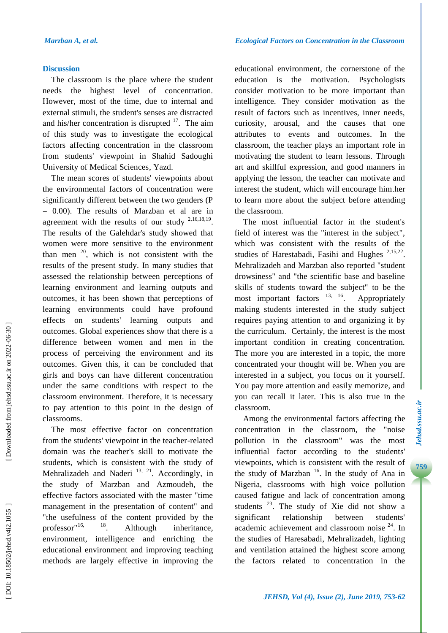#### **Discussion**

The classroom is the place where the student needs the highest level of concentration. However, most of the time, due to internal and external stimuli, the student's senses are distracted and his/her concentration is disrupted  $17$ . The aim of this study was to investigate the ecological factors affecting concentration in the classroom from students' viewpoint in Shahid Sadoughi University of Medical Sciences , Yazd .

The mean scores of students' viewpoints about the environmental factors of concentration were significantly different between the two genders (P = 0.00). The results of Marzban et al are in agreement with the results of our study  $2,16,18,19$ . The results of the Galehdar's study showed that women were more sensitive to the environment than men  $20$ , which is not consistent with the results of the present study. In many studies that assessed the relationship between perceptions of learning environment and learning outputs and outcomes, it has been shown that perceptions of learning environments could have profound effects on students' learning outputs and outcomes. Global experiences show that there is a difference between women and men in the process of perceiving the environment and its outcomes. Given this, it can be concluded that girls and boys can have different concentration under the same conditions with respect to the classroom environment. Therefore, it is necessary to pay attention to this point in the design of classrooms.

The most effective factor on concentration from the students' viewpoint in the teacher -related domain was the teacher's skill to motivate the students, which is consistent with the study of Mehralizadeh and Naderi  $^{13, 21}$ . Accordingly, in the study of Marzban and Azmoudeh, the effective factors associated with the master "time management in the presentation of content" and "the usefulness of the content provided by the professor" $16$ ,  $18$ . Although inheritance, environment, intelligence and enriching the educational environment and improving teaching methods are largely effective in improving the

educational environment, the cornerstone of the education is the motivation. Psychologists consider motivation to be more important than intelligence. They consider motivation as the result of factors such as incentives, inner needs, curiosity, arousal, and the causes that one attributes to events and outcomes. In the classroom, the teacher plays an important role in motivating the student to learn lessons. Through art and skillful expression, and good manners in applying the lesson, the teacher can motivate and interest the student, which will encourage him .her to learn more about the subject before attending the classroom.

The most influential factor in the student's field of interest was the "interest in the subject", which was consistent with the results of the studies of Harestabadi, Fasihi and Hughes <sup>2,15,22</sup>. Mehralizadeh and Marzban also reported "student drowsiness" and "the scientific base and baseline skills of students toward the subject" to be the most important factors  $13, 16$ . . Appropriately making students interested in the study subject requires paying attention to and organizing it by the curriculum. Certainly, the interest is the most important condition in creating concentration. The more you are interested in a topic, the more concentrated your thought will be. When you are interested in a subject, you focus on it yourself. You pay more attention and easily memorize, and you can recall it later. This is also true in the classroom.

Among the environmental factors affecting the concentration in the classroom, the "noise pollution in the classroom" was the most influential factor according to the students' viewpoints, which is consistent with the result of the study of Marzban<sup>16</sup>. In the study of Ana in Nigeria, classrooms with high voice pollution caused fatigue and lack of concentration among students<sup>23</sup>. The study of Xie did not show a significant relationship between students' academic achievement and classroom noise <sup>24</sup>. In the studies of Haresabadi, Mehralizadeh, lighting and ventilation attained the highest score among the factors related to concentration in the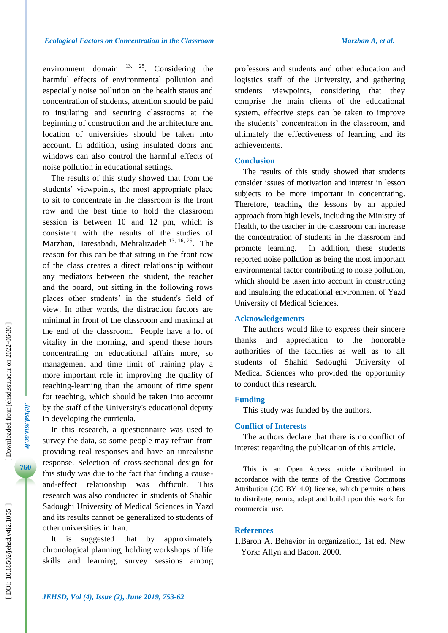environment domain  $13, 25$ . Considering the harmful effects of environmental pollution and especially noise pollution on the health status and concentration of students, attention should be paid to insulating and securing classrooms at the beginning of construction and the architecture and location of universities should be taken into account. In addition, using insulated doors and windows can also control the harmful effects of noise pollution in educational settings.

The results of this study showed that from the students' viewpoints, the most appropriate place to sit to concentrate in the classroom is the front row and the best time to hold the classroom session is between 10 and 12 pm, which is consistent with the results of the studies of Marzban, Haresabadi, Mehralizadeh 13, 16, 25. The reason for this can be that sitting in the front row of the class creates a direct relationship without any mediators between the student, the teacher and the board, but sitting in the following rows places other students' in the student's field of view. In other words, the distraction factors are minimal in front of the classroom and maximal at the end of the classroom. People have a lot of vitality in the morning, and spend these hours concentrating on educational affairs more, so management and time limit of training play a more important role in improving the quality of teaching -learning than the amount of time spent for teaching, which should be taken into account by the staff of the University's educational deputy in developing the curricula.

In this research, a questionnaire was used to survey the data, so some people may refrain from providing real responses and have an unrealistic response. Selection of cross -sectional design for this study was due to the fact that finding a cause and -effect relationship was difficult. This research was also conducted in students of Shahid Sadoughi University of Medical Sciences in Yazd and its results cannot be generalized to students of other universities in Iran.

It is suggested that by approximately chronological planning, holding workshops of life skills and learning, survey sessions among professors and students and other education and logistics staff of the University, and gathering students' viewpoints, considering that they comprise the main clients of the educational system, effective steps can be taken to improve the students' concentration in the classroom, and ultimately the effectiveness of learning and its achievements.

#### **Conclusion**

The results of this study showed that students consider issues of motivation and interest in lesson subjects to be more important in concentrating. Therefore, teaching the lessons by an applied approach from high levels, including the Ministry of Health, to the teacher in the classroom can increase the concentration of students in the classroom and promote learning. In addition, these students reported noise pollution as being the most important environmental factor contributing to noise pollution, which should be taken into account in constructing and insulating the educational environment of Yazd University of Medical Sciences.

#### **Acknowledgements**

The authors would like to express their sincere thanks and appreciation to the honorable authorities of the faculties as well as to all students of Shahid Sadoughi University of Medical Sciences who provided the opportunity to conduct this research.

#### **Funding**

This study was funded by the authors.

#### **Conflict of Interests**

The authors declare that there is no conflict of interest regarding the publication of this article.

This is an Open Access article distributed in accordance with the terms of the Creative Commons Attribution (CC BY 4.0) license, which permits others to distribute, remix, adapt and build upon this work for commercial use.

### **References**

1.Baron A. Behavior in organization, 1st ed. New York: Allyn and Bacon. 2000.

*Jehsd.ssu.ac.ir*

Jehsd.ssu.ac.ir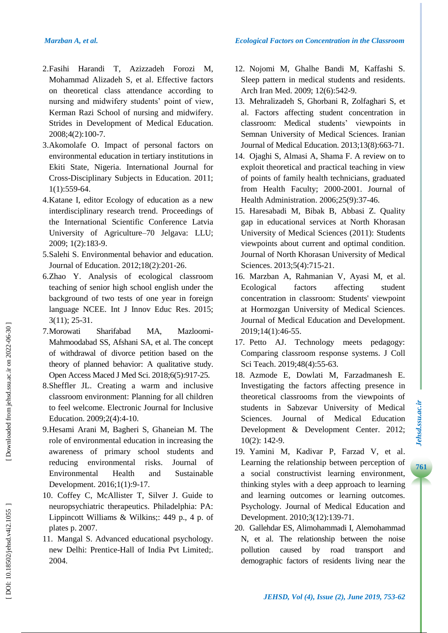- 2 .Fasihi Harandi T, Azizzadeh Forozi M, Mohammad Alizadeh S, et al. Effective factors on theoretical class attendance according to nursing and midwifery students' point of view, Kerman Razi School of nursing and midwifery. Strides in Development of Medical Education. 2008;4(2):100 -7.
- 3 .Akomolafe O. Impact of personal factors on environmental education in tertiary institutions in Ekiti State, Nigeria. International Journal for Cross -Disciplinary Subjects in Education. 2011; 1(1):559 - 64.
- 4 . Katane I, editor Ecology of education as a new interdisciplinary research trend. Proceedings of the International Scientific Conference Latvia University of Agriculture –70 Jelgava: LLU; 2009; 1(2):183-9.
- 5 .Salehi S. Environmental behavior and education. Journal of Education. 2012;18(2):201 -26.
- 6 .Zhao Y. Analysis of ecological classroom teaching of senior high school english under the background of two tests of one year in foreign language NCEE. Int J Innov Educ Res. 2015; 3(11) ; 25 -31 .
- 7 .Morowati Sharifabad MA, Mazloomi-Mahmoodabad SS, Afshani SA, et al. The concept of withdrawal of divorce petition based on the theory of planned behavior: A qualitative study. Open Access Maced J Med Sci. 2018;6(5):917 -25 .
- 8 .Sheffler JL. Creating a warm and inclusive classroom environment: Planning for all children to feel welcome. Electronic Journal for Inclusive Education. 2009;2(4):4 -10 .
- 9 .Hesami Arani M, Bagheri S, Ghaneian M. The role of environmental education in increasing the awareness of primary school students and reducing environmental risks. Journal of Environmental Health and Sustainable Development. 2016;1(1):9 -17.
- 10 . Coffey C, McAllister T, Silver J. Guide to neuropsychiatric therapeutics. Philadelphia: PA: Lippincott Williams & Wilkins;: 449 p., 4 p. of plates p. 2007.
- 11 . Mangal S. Advanced educational psychology. new Delhi: Prentice -Hall of India Pvt Limited;. 2004.
- 12 . Nojomi M, Ghalhe Bandi M, Kaffashi S. Sleep pattern in medical students and residents. Arch Iran Med. 2009; 12(6):542-9.
- 13 . Mehralizadeh S, Ghorbani R, Zolfaghari S, et al. Factors affecting student concentration in classroom: Medical students' viewpoints in Semnan University of Medical Sciences. Iranian Journal of Medical Education. 2013;13(8):663 -71.
- 14 . Ojaghi S, Almasi A, Shama F. A review on to exploit theoretical and practical teaching in view of points of family health technicians, graduated from Health Faculty; 2000-2001. Journal of Health Administration. 2006;25(9):37-46.
- 15 . Haresabadi M, Bibak B, Abbasi Z. Quality gap in educational services at North Khorasan University of Medical Sciences (2011): Students viewpoints about current and optimal condition. Journal of North Khorasan University of Medical Sciences. 2013;5(4):715 -21.
- 16 . Marzban A, Rahmanian V, Ayasi M, et al. Ecological factors affecting student concentration in classroom: Students' viewpoint at Hormozgan University of Medical Sciences. Journal of Medical Education and Development. 2019;14(1):46 -55.
- 17 . Petto AJ. Technology meets pedagogy: Comparing classroom response systems. J Coll Sci Teach. 2019;48(4):55 -63.
- 18 . Azmode E, Dowlati M, Farzadmanesh E. Investigating the factors affecting presence in theoretical classrooms from the viewpoints of students in Sabzevar University of Medical Sciences. Journal of Medical Education Development & Development Center. 2012; 10(2): 142 -9.
- 19 . Yamini M, Kadivar P, Farzad V, et al. Learning the relationship between perception of a social constructivist learning environment, thinking styles with a deep approach to learning and learning outcomes or learning outcomes. Psychology. Journal of Medical Education and Development. 2010;3(12):139 -71.
- 20 . Gallehdar ES, Alimohammadi I, Alemohammad N, et al. The relationship between the noise pollution caused by road transport and demographic factors of residents living near the